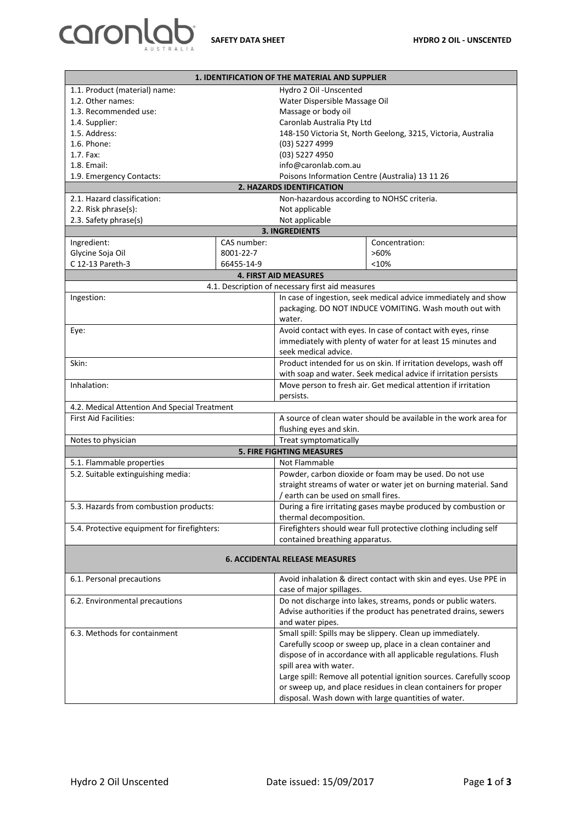

| 1. IDENTIFICATION OF THE MATERIAL AND SUPPLIER |             |                                                                                          |                                                                  |  |
|------------------------------------------------|-------------|------------------------------------------------------------------------------------------|------------------------------------------------------------------|--|
| 1.1. Product (material) name:                  |             | Hydro 2 Oil -Unscented                                                                   |                                                                  |  |
| 1.2. Other names:                              |             | Water Dispersible Massage Oil                                                            |                                                                  |  |
| 1.3. Recommended use:                          |             | Massage or body oil                                                                      |                                                                  |  |
| 1.4. Supplier:                                 |             | Caronlab Australia Pty Ltd                                                               |                                                                  |  |
| 1.5. Address:                                  |             | 148-150 Victoria St, North Geelong, 3215, Victoria, Australia                            |                                                                  |  |
| 1.6. Phone:                                    |             | (03) 5227 4999                                                                           |                                                                  |  |
| 1.7. Fax:                                      |             | (03) 5227 4950                                                                           |                                                                  |  |
| 1.8. Email:                                    |             | info@caronlab.com.au                                                                     |                                                                  |  |
| 1.9. Emergency Contacts:                       |             | Poisons Information Centre (Australia) 13 11 26                                          |                                                                  |  |
| 2. HAZARDS IDENTIFICATION                      |             |                                                                                          |                                                                  |  |
| 2.1. Hazard classification:                    |             | Non-hazardous according to NOHSC criteria.                                               |                                                                  |  |
| 2.2. Risk phrase(s):                           |             | Not applicable                                                                           |                                                                  |  |
| 2.3. Safety phrase(s)                          |             | Not applicable                                                                           |                                                                  |  |
| <b>3. INGREDIENTS</b>                          |             |                                                                                          |                                                                  |  |
| Ingredient:                                    | CAS number: |                                                                                          | Concentration:                                                   |  |
| Glycine Soja Oil                               | 8001-22-7   |                                                                                          | $>60\%$                                                          |  |
| C 12-13 Pareth-3                               | 66455-14-9  |                                                                                          | < 10%                                                            |  |
|                                                |             | <b>4. FIRST AID MEASURES</b>                                                             |                                                                  |  |
|                                                |             | 4.1. Description of necessary first aid measures                                         |                                                                  |  |
| Ingestion:                                     |             | In case of ingestion, seek medical advice immediately and show                           |                                                                  |  |
|                                                |             | packaging. DO NOT INDUCE VOMITING. Wash mouth out with                                   |                                                                  |  |
|                                                |             | water.                                                                                   |                                                                  |  |
| Eye:                                           |             | Avoid contact with eyes. In case of contact with eyes, rinse                             |                                                                  |  |
|                                                |             | immediately with plenty of water for at least 15 minutes and                             |                                                                  |  |
|                                                |             | seek medical advice.                                                                     |                                                                  |  |
| Skin:                                          |             | Product intended for us on skin. If irritation develops, wash off                        |                                                                  |  |
|                                                |             | with soap and water. Seek medical advice if irritation persists                          |                                                                  |  |
| Inhalation:                                    |             | Move person to fresh air. Get medical attention if irritation                            |                                                                  |  |
|                                                |             | persists.                                                                                |                                                                  |  |
| 4.2. Medical Attention And Special Treatment   |             |                                                                                          |                                                                  |  |
| <b>First Aid Facilities:</b>                   |             | A source of clean water should be available in the work area for                         |                                                                  |  |
|                                                |             | flushing eyes and skin.                                                                  |                                                                  |  |
| Notes to physician                             |             | Treat symptomatically                                                                    |                                                                  |  |
|                                                |             | <b>5. FIRE FIGHTING MEASURES</b>                                                         |                                                                  |  |
| 5.1. Flammable properties                      |             | Not Flammable                                                                            |                                                                  |  |
| 5.2. Suitable extinguishing media:             |             | Powder, carbon dioxide or foam may be used. Do not use                                   |                                                                  |  |
|                                                |             | straight streams of water or water jet on burning material. Sand                         |                                                                  |  |
|                                                |             | / earth can be used on small fires.                                                      |                                                                  |  |
| 5.3. Hazards from combustion products:         |             |                                                                                          |                                                                  |  |
|                                                |             | During a fire irritating gases maybe produced by combustion or<br>thermal decomposition. |                                                                  |  |
|                                                |             |                                                                                          |                                                                  |  |
| 5.4. Protective equipment for firefighters:    |             |                                                                                          | Firefighters should wear full protective clothing including self |  |
| contained breathing apparatus.                 |             |                                                                                          |                                                                  |  |
| <b>6. ACCIDENTAL RELEASE MEASURES</b>          |             |                                                                                          |                                                                  |  |
| 6.1. Personal precautions                      |             |                                                                                          | Avoid inhalation & direct contact with skin and eyes. Use PPE in |  |
|                                                |             | case of major spillages.                                                                 |                                                                  |  |
| 6.2. Environmental precautions                 |             | Do not discharge into lakes, streams, ponds or public waters.                            |                                                                  |  |
|                                                |             | Advise authorities if the product has penetrated drains, sewers                          |                                                                  |  |
|                                                |             | and water pipes.                                                                         |                                                                  |  |
| 6.3. Methods for containment                   |             |                                                                                          | Small spill: Spills may be slippery. Clean up immediately.       |  |
|                                                |             | Carefully scoop or sweep up, place in a clean container and                              |                                                                  |  |

dispose of in accordance with all applicable regulations. Flush spill area with water. Large spill: Remove all potential ignition sources. Carefully scoop or sweep up, and place residues in clean containers for proper disposal. Wash down with large quantities of water.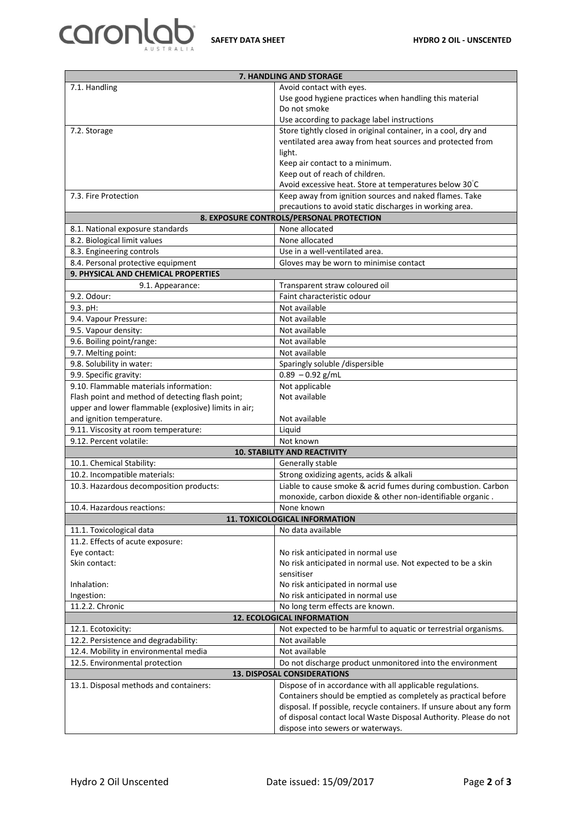

| 7. HANDLING AND STORAGE                                                      |                                                                     |  |  |
|------------------------------------------------------------------------------|---------------------------------------------------------------------|--|--|
| 7.1. Handling                                                                | Avoid contact with eyes.                                            |  |  |
|                                                                              | Use good hygiene practices when handling this material              |  |  |
|                                                                              | Do not smoke                                                        |  |  |
|                                                                              | Use according to package label instructions                         |  |  |
| 7.2. Storage                                                                 | Store tightly closed in original container, in a cool, dry and      |  |  |
|                                                                              | ventilated area away from heat sources and protected from           |  |  |
|                                                                              | light.                                                              |  |  |
|                                                                              | Keep air contact to a minimum.                                      |  |  |
|                                                                              | Keep out of reach of children.                                      |  |  |
|                                                                              | Avoid excessive heat. Store at temperatures below 30°C              |  |  |
| 7.3. Fire Protection                                                         | Keep away from ignition sources and naked flames. Take              |  |  |
| precautions to avoid static discharges in working area.                      |                                                                     |  |  |
| 8. EXPOSURE CONTROLS/PERSONAL PROTECTION                                     |                                                                     |  |  |
| 8.1. National exposure standards                                             | None allocated                                                      |  |  |
| 8.2. Biological limit values                                                 | None allocated                                                      |  |  |
| 8.3. Engineering controls                                                    | Use in a well-ventilated area.                                      |  |  |
| 8.4. Personal protective equipment<br>Gloves may be worn to minimise contact |                                                                     |  |  |
| 9. PHYSICAL AND CHEMICAL PROPERTIES                                          |                                                                     |  |  |
| 9.1. Appearance:                                                             | Transparent straw coloured oil                                      |  |  |
| 9.2. Odour:                                                                  | Faint characteristic odour                                          |  |  |
| 9.3. pH:                                                                     | Not available                                                       |  |  |
| 9.4. Vapour Pressure:                                                        | Not available                                                       |  |  |
| 9.5. Vapour density:                                                         | Not available                                                       |  |  |
| 9.6. Boiling point/range:                                                    | Not available                                                       |  |  |
| 9.7. Melting point:                                                          | Not available                                                       |  |  |
| 9.8. Solubility in water:                                                    | Sparingly soluble /dispersible                                      |  |  |
| 9.9. Specific gravity:                                                       | $0.89 - 0.92$ g/mL                                                  |  |  |
| 9.10. Flammable materials information:                                       | Not applicable<br>Not available                                     |  |  |
| Flash point and method of detecting flash point;                             |                                                                     |  |  |
| upper and lower flammable (explosive) limits in air;                         |                                                                     |  |  |
| and ignition temperature.<br>9.11. Viscosity at room temperature:            | Not available<br>Liquid                                             |  |  |
| 9.12. Percent volatile:                                                      | Not known                                                           |  |  |
|                                                                              | <b>10. STABILITY AND REACTIVITY</b>                                 |  |  |
| 10.1. Chemical Stability:                                                    | Generally stable                                                    |  |  |
| 10.2. Incompatible materials:                                                | Strong oxidizing agents, acids & alkali                             |  |  |
| 10.3. Hazardous decomposition products:                                      | Liable to cause smoke & acrid fumes during combustion. Carbon       |  |  |
|                                                                              | monoxide, carbon dioxide & other non-identifiable organic.          |  |  |
| 10.4. Hazardous reactions:                                                   | None known                                                          |  |  |
|                                                                              | <b>11. TOXICOLOGICAL INFORMATION</b>                                |  |  |
| No data available<br>11.1. Toxicological data                                |                                                                     |  |  |
| 11.2. Effects of acute exposure:                                             |                                                                     |  |  |
| Eye contact:                                                                 | No risk anticipated in normal use                                   |  |  |
| Skin contact:                                                                | No risk anticipated in normal use. Not expected to be a skin        |  |  |
|                                                                              | sensitiser                                                          |  |  |
| Inhalation:                                                                  | No risk anticipated in normal use                                   |  |  |
| Ingestion:                                                                   | No risk anticipated in normal use                                   |  |  |
| 11.2.2. Chronic                                                              | No long term effects are known.                                     |  |  |
| <b>12. ECOLOGICAL INFORMATION</b>                                            |                                                                     |  |  |
| 12.1. Ecotoxicity:                                                           | Not expected to be harmful to aquatic or terrestrial organisms.     |  |  |
| 12.2. Persistence and degradability:                                         | Not available                                                       |  |  |
| 12.4. Mobility in environmental media                                        | Not available                                                       |  |  |
| 12.5. Environmental protection                                               | Do not discharge product unmonitored into the environment           |  |  |
|                                                                              | <b>13. DISPOSAL CONSIDERATIONS</b>                                  |  |  |
| 13.1. Disposal methods and containers:                                       | Dispose of in accordance with all applicable regulations.           |  |  |
|                                                                              | Containers should be emptied as completely as practical before      |  |  |
|                                                                              | disposal. If possible, recycle containers. If unsure about any form |  |  |
|                                                                              | of disposal contact local Waste Disposal Authority. Please do not   |  |  |
|                                                                              | dispose into sewers or waterways.                                   |  |  |